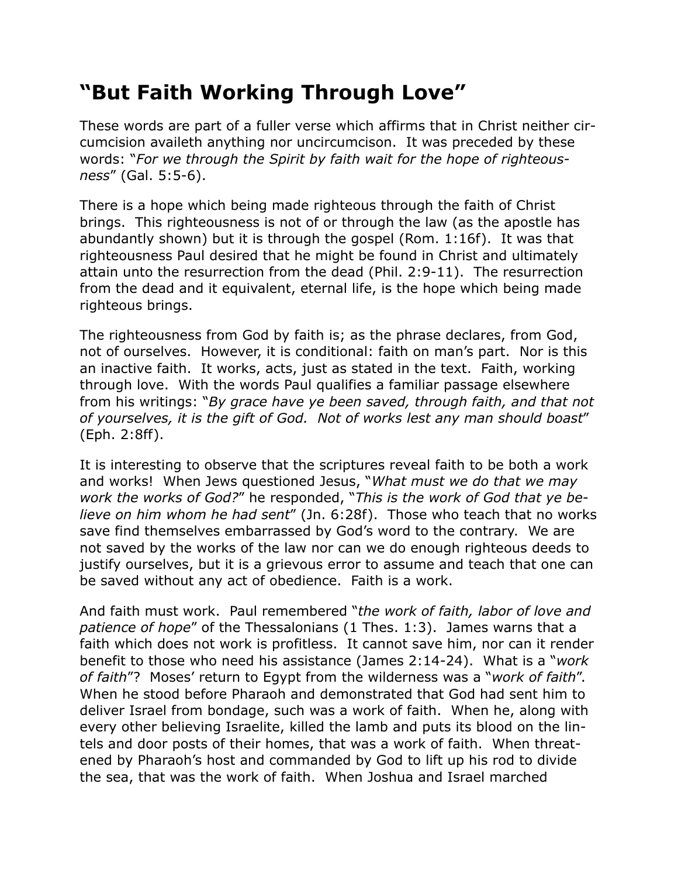## **"But Faith Working Through Love"**

These words are part of a fuller verse which affirms that in Christ neither circumcision availeth anything nor uncircumcison. It was preceded by these words: "*For we through the Spirit by faith wait for the hope of righteousness*" (Gal. 5:5-6).

There is a hope which being made righteous through the faith of Christ brings. This righteousness is not of or through the law (as the apostle has abundantly shown) but it is through the gospel (Rom. 1:16f). It was that righteousness Paul desired that he might be found in Christ and ultimately attain unto the resurrection from the dead (Phil. 2:9-11). The resurrection from the dead and it equivalent, eternal life, is the hope which being made righteous brings.

The righteousness from God by faith is; as the phrase declares, from God, not of ourselves. However, it is conditional: faith on man's part. Nor is this an inactive faith. It works, acts, just as stated in the text. Faith, working through love. With the words Paul qualifies a familiar passage elsewhere from his writings: "*By grace have ye been saved, through faith, and that not of yourselves, it is the gift of God. Not of works lest any man should boast*" (Eph. 2:8ff).

It is interesting to observe that the scriptures reveal faith to be both a work and works! When Jews questioned Jesus, "*What must we do that we may work the works of God?*" he responded, "*This is the work of God that ye believe on him whom he had sent*" (Jn. 6:28f). Those who teach that no works save find themselves embarrassed by God's word to the contrary. We are not saved by the works of the law nor can we do enough righteous deeds to justify ourselves, but it is a grievous error to assume and teach that one can be saved without any act of obedience. Faith is a work.

And faith must work. Paul remembered "*the work of faith, labor of love and patience of hope*" of the Thessalonians (1 Thes. 1:3). James warns that a faith which does not work is profitless. It cannot save him, nor can it render benefit to those who need his assistance (James 2:14-24). What is a "*work of faith*"? Moses' return to Egypt from the wilderness was a "*work of faith*". When he stood before Pharaoh and demonstrated that God had sent him to deliver Israel from bondage, such was a work of faith. When he, along with every other believing Israelite, killed the lamb and puts its blood on the lintels and door posts of their homes, that was a work of faith. When threatened by Pharaoh's host and commanded by God to lift up his rod to divide the sea, that was the work of faith. When Joshua and Israel marched